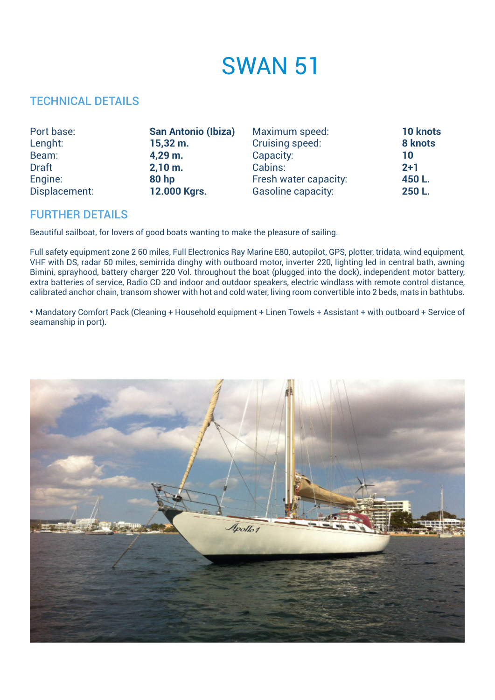## SWAN 51

## TECHNICAL DETAILS

| Port base:    | <b>San Antonio (Ibiza)</b> | Maximum speed:            | <b>10 knots</b> |
|---------------|----------------------------|---------------------------|-----------------|
| Lenght:       | $15,32 \; m.$              | Cruising speed:           | 8 knots         |
| Beam:         | $4,29$ m.                  | Capacity:                 | 10              |
| <b>Draft</b>  | 2,10 m.                    | Cabins:                   | $2+1$           |
| Engine:       | <b>80 hp</b>               | Fresh water capacity:     | 450L.           |
| Displacement: | 12.000 Kgrs.               | <b>Gasoline capacity:</b> | 250 L.          |

## FURTHER DETAILS

Beautiful sailboat, for lovers of good boats wanting to make the pleasure of sailing.

Full safety equipment zone 2 60 miles, Full Electronics Ray Marine E80, autopilot, GPS, plotter, tridata, wind equipment, VHF with DS, radar 50 miles, semirrida dinghy with outboard motor, inverter 220, lighting led in central bath, awning Bimini, sprayhood, battery charger 220 Vol. throughout the boat (plugged into the dock), independent motor battery, extra batteries of service, Radio CD and indoor and outdoor speakers, electric windlass with remote control distance, calibrated anchor chain, transom shower with hot and cold water, living room convertible into 2 beds, mats in bathtubs.

\* Mandatory Comfort Pack (Cleaning + Household equipment + Linen Towels + Assistant + with outboard + Service of seamanship in port).